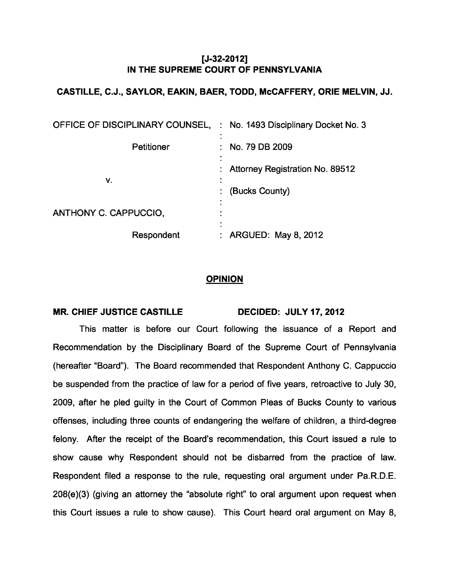## [J-32-2012] IN THE SUPREME COURT OF PENNSYLVANIA

## CASTILLE, C.J., SAYLOR, EAKIN, BAER, TODD, McCAFFERY, ORIE MELVIN, JJ.

| OFFICE OF DISCIPLINARY COUNSEL, | : No. 1493 Disciplinary Docket No. 3                     |
|---------------------------------|----------------------------------------------------------|
| <b>Petitioner</b>               | : No. 79 DB 2009                                         |
| v.                              | <b>Attorney Registration No. 89512</b><br>(Bucks County) |
| ANTHONY C. CAPPUCCIO,           | ٠<br>٠                                                   |
| Respondent                      | <b>ARGUED: May 8, 2012</b>                               |

## **OPINION**

## MR. CHIEF JUSTICE CASTILLE DECIDED: JULY 17, 2012

This matter is before our Court following the issuance of a Report and Recommendation by the Disciplinary Board of the Supreme Court of Pennsylvania (hereafter "Board"). The Board recommended that Respondent Anthony C. Cappuccio be suspended from the practice of law for a period of five years, retroactive to July 30, 2009, after he pled guilty in the Court of Common Pleas of Bucks County to various offenses, including three counts of endangering the welfare of children, a third-degree felony. After the receipt of the Board's recommendation, this Court issued a rule to show cause why Respondent should not be disbarred from the practice of law. Respondent filed a response to the rule, requesting oral argument under Pa.R.D.E. 208(e)(3) (giving an attorney the "absolute right" to oral argument upon request when this Court issues a rule to show cause). This Court heard oral argument on May 8,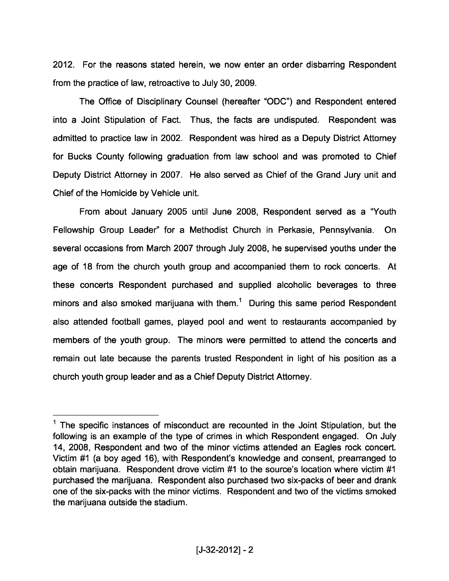2012. For the reasons stated herein, we now enter an order disbarring Respondent from the practice of law, retroactive to July 30, 2009.

The Office of Disciplinary Counsel (hereafter "ODC") and Respondent entered into a Joint Stipulation of Fact. Thus, the facts are undisputed. Respondent was admitted to practice law in 2002. Respondent was hired as a Deputy District Attorney for Bucks County following graduation from law school and was promoted to Chief Deputy District Attorney in 2007. He also served as Chief of the Grand Jury unit and Chief of the Homicide by Vehicle unit.

From about January 2005 until June 2008, Respondent served as a"Youth Fellowship Group Leader" for a Methodist Church in Perkasie, Pennsylvania. On several occasions from March 2007 through July 2008, he supervised youths under the age of 18 from the church youth group and accompanied them to rock concerts. At these concerts Respondent purchased and supplied alcoholic beverages to three minors and also smoked marijuana with them.<sup>1</sup> During this same period Respondent also attended football games, played pool and went to restaurants accompanied by members of the youth group. The minors were permitted to attend the concerts and remain out late because the parents trusted Respondent in light of his position as a church youth group leader and as a Chief Deputy District Attorney.

 $<sup>1</sup>$  The specific instances of misconduct are recounted in the Joint Stipulation, but the</sup> following is an example of the type of crimes in which Respondent engaged. On July 14, 2008, Respondent and two of the minor victims attended an Eagles rock concert. Victim #1 (a boy aged 16), with Respondent's knowledge and consent, prearranged to obtain marijuana. Respondent drove victim #1 to the source's location where victim #1 purchased the marijuana. Respondent also purchased two six-packs of beer and drank one of the six-packs with the minor victims. Respondent and two of the victims smoked the marijuana outside the stadium.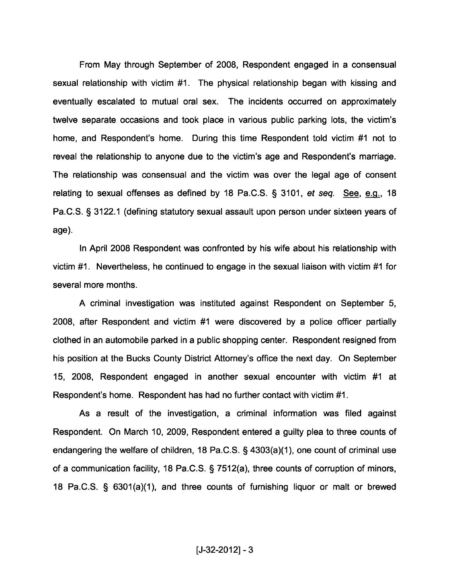From May through September of 2008, Respondent engaged in a consensual sexual relationship with victim #1. The physical relationship began with kissing and eventually escalated to mutual oral sex. The incidents occurred on approximately twelve separate occasions and took place in various public parking lots, the victim's home, and Respondent's home. During this time Respondent told victim #1 not to reveal the relationship to anyone due to the victim's age and Respondent's marriage. The relationship was consensual and the victim was over the legal age of consent relating to sexual offenses as defined by 18 Pa.C.S. § 3101, et seq. See, e.g., 18 Pa.C.S. § 3122.1 (defining statutory sexual assault upon person under sixteen years of age).

In April 2008 Respondent was confronted by his wife about his relationship with victim #1. Nevertheless, he continued to engage in the sexual liaison with victim #1 for several more months.

A criminal investigation was instituted against Respondent on September 5, 2008, after Respondent and victim #1 were discovered by a police officer partially clothed in an automobile parked in a public shopping center. Respondent resigned from his position at the Bucks County District Attorney's office the next day. On September 15, 2008, Respondent engaged in another sexual encounter with victim #1 at Respondent's home. Respondent has had no further contact with victim #1.

As a result of the investigation, a criminal information was filed against Respondent. On March 10, 2009, Respondent entered a guilty plea to three counts of endangering the welfare of children, 18 Pa.C.S. § 4303(a)(1), one count of criminal use of a communication facility, 18 Pa.C.S. § 7512(a), three counts of corruption of minors, 18 Pa.C.S. § 6301(a)(1), and three counts of furnishing liquor or malt or brewed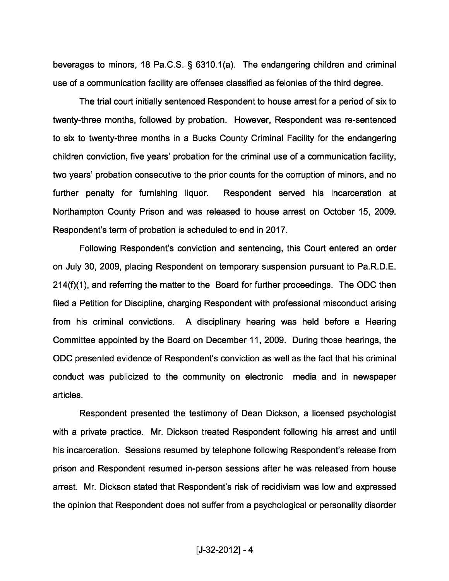beverages to minors, 18 Pa.C.S. § 6310.1(a). The endangering children and criminal use of a communication facility are offenses classified as felonies of the third degree.

The trial court initially sentenced Respondent to house arrest for a period of six to twenty-three months, followed by probation. However, Respondent was re-sentenced to six to twenty-three months in a Bucks County Criminal Facility for the endangering children conviction, five years' probation for the criminal use of a communication facility, two years' probation consecutive to the prior counts for the corruption of minors, and no further penalty for furnishing liquor. Respondent served his incarceration at Northampton County Prison and was released to house arrest on October 15, 2009. Respondent's term of probation is scheduled to end in 2017.

Following Respondent's conviction and sentencing, this Court entered an order on July 30, 2009, placing Respondent on temporary suspension pursuant to Pa.R.D.E. 214(f)(1), and referring the matter to the Board for further proceedings. The ODC then filed a Petition for Discipline, charging Respondent with professional misconduct arising from his criminal convictions. A disciplinary hearing was held before a Hearing Committee appointed by the Board on December 11, 2009. During those hearings, the ODC presented evidence of Respondent's conviction as well as the fact that his criminal conduct was publicized to the community on electronic media and in newspaper articles.

Respondent presented the testimony of Dean Dickson, a licensed psychologist with a private practice. Mr. Dickson treated Respondent following his arrest and until his incarceration. Sessions resumed by telephone following Respondent's release from prison and Respondent resumed in-person sessions after he was released from house arrest. Mr. Dickson stated that Respondent's risk of recidivism was low and expressed the opinion that Respondent does not suffer from a psychological or personality disorder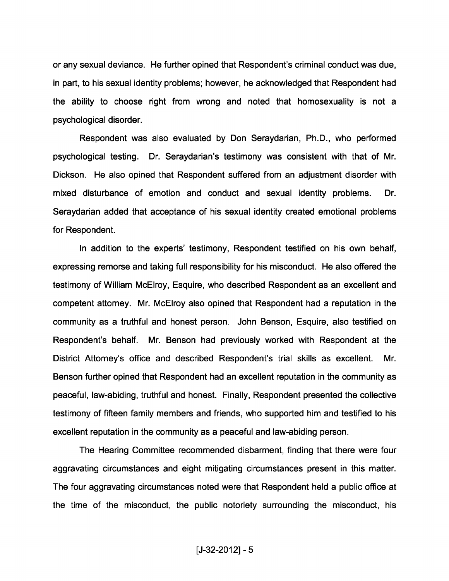or any sexual deviance. He further opined that Respondent's criminal conduct was due, in part, to his sexual identity problems; however, he acknowledged that Respondent had the ability to choose right from wrong and noted that homosexuality is not a psychological disorder.

Respondent was also evaluated by Don Seraydarian, Ph.D., who performed psychological testing. Dr. Seraydarian's testimony was consistent with that of Mr. Dickson. He also opined that Respondent suffered from an adjustment disorder with mixed disturbance of emotion and conduct and sexual identity problems. Dr. Seraydarian added that acceptance of his sexual identity created emotional problems for Respondent.

In addition to the experts' testimony, Respondent testified on his own behalf, expressing remorse and taking full responsibility for his misconduct. He also offered the testimony of William McElroy, Esquire, who described Respondent as an excellent and competent attorney. Mr. McElroy also opined that Respondent had a reputation in the community as a truthful and honest person. John Benson, Esquire, also testified on Respondent's behalf. Mr. Benson had previously worked with Respondent at the District Attorney's office and described Respondent's trial skills as excellent. Mr. Benson further opined that Respondent had an excellent reputation in the community as peaceful, law-abiding, truthful and honest. Finally, Respondent presented the collective testimony of fifteen family members and friends, who supported him and testified to his excellent reputation in the community as a peaceful and law-abiding person.

The Hearing Committee recommended disbarment, finding that there were four aggravating circumstances and eight mitigating circumstances present in this matter. The four aggravating circumstances noted were that Respondent held a public office at the time of the misconduct, the public notoriety surrounding the misconduct, his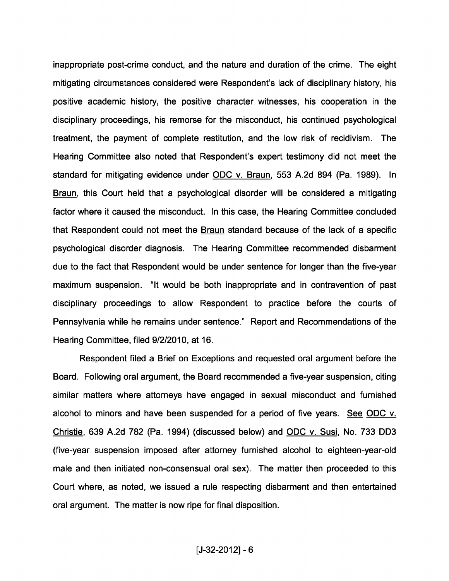inappropriate post-crime conduct, and the nature and duration of the crime. The eight mitigating circumstances considered were Respondent's lack of disciplinary history, his positive academic history, the positive character witnesses, his cooperation in the disciplinary proceedings, his remorse for the misconduct, his continued psychological treatment, the payment of complete restitution, and the low risk of recidivism. The Hearing Committee also noted that Respondent's expert testimony did not meet the standard for mitigating evidence under ODC v. Braun, 553 A.2d 894 (Pa. 1989). In Braun, this Court held that a psychological disorder will be considered a mitigating factor where it caused the misconduct. In this case, the Hearing Committee concluded that Respondent could not meet the Braun standard because of the lack of a specific psychological disorder diagnosis. The Hearing Committee recommended disbarment due to the fact that Respondent would be under sentence for longer than the five-year maximum suspension. "It would be both inappropriate and in contravention of past disciplinary proceedings to allow Respondent to practice before the courts of Pennsylvania while he remains under sentence." Report and Recommendations of the Hearing Committee, filed 9/2/2010, at 16.

Respondent filed a Brief on Exceptions and requested oral argument before the Board. Following oral argument, the Board recommended a five-year suspension, citing similar matters where attorneys have engaged in sexual misconduct and furnished alcohol to minors and have been suspended for a period of five years. See ODC v. Christie, 639 A.2d 782 (Pa. 1994) (discussed below) and ODC v. Susi, No. 733 DD3 (five-year suspension imposed after attorney furnished alcohol to eighteen-year-old male and then initiated non-consensual oral sex). The matter then proceeded to this Court where, as noted, we issued a rule respecting disbarment and then entertained oral argument. The matter is now ripe for final disposition.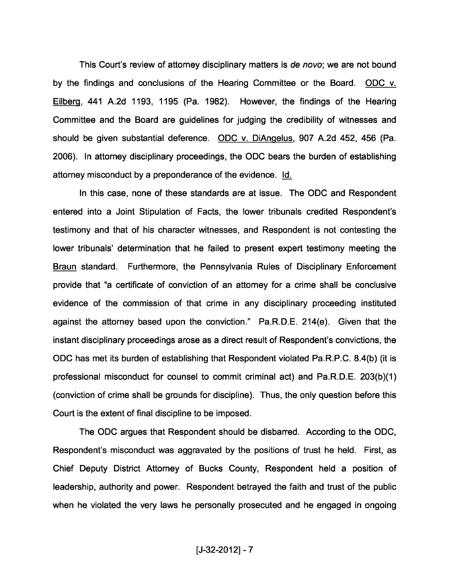This Court's review of attorney disciplinary matters is de novo; we are not bound by the findings and conclusions of the Hearing Committee or the Board. ODC v. Eilberg, 441 A.2d 1193, 1195 (Pa. 1982). However, the findings of the Hearing Committee and the Board are guidelines for judging the credibility of witnesses and should be given substantial deference. ODC v. DiAngelus, 907 A.2d 452, 456 (Pa. 2006). In attorney disciplinary proceedings, the ODC bears the burden of establishing attorney misconduct by a preponderance of the evidence. Id.

In this case, none of these standards are at issue. The ODC and Respondent entered into a Joint Stipulation of Facts, the lower tribunals credited Respondent's testimony and that of his character witnesses, and Respondent is not contesting the lower tribunals' determination that he failed to present expert testimony meeting the Braun standard. Furthermore, the Pennsylvania Rules of Disciplinary Enforcement provide that "a certificate of conviction of an attorney for a crime shall be conclusive evidence of the commission of that crime in any disciplinary proceeding instituted against the attorney based upon the conviction." Pa.R.D.E. 21 4(e). Given that the instant disciplinary proceedings arose as a direct result of Respondent's convictions, the ODC has met its burden of establishing that Respondent violated Pa.R.P.C. 8. 4(b) (it is professional misconduct for counsel to commit criminal act) and Pa.R.D.E. 203(b)(1) (conviction of crime shall be grounds for discipline). Thus, the only question before this Court is the extent of final discipline to be imposed.

The ODC argues that Respondent should be disbarred. According to the ODC, Respondent's misconduct was aggravated by the positions of trust he held. First, as Chief Deputy District Attorney of Bucks County, Respondent held a position of leadership, authority and power. Respondent betrayed the faith and trust of the public when he violated the very laws he personally prosecuted and he engaged in ongoing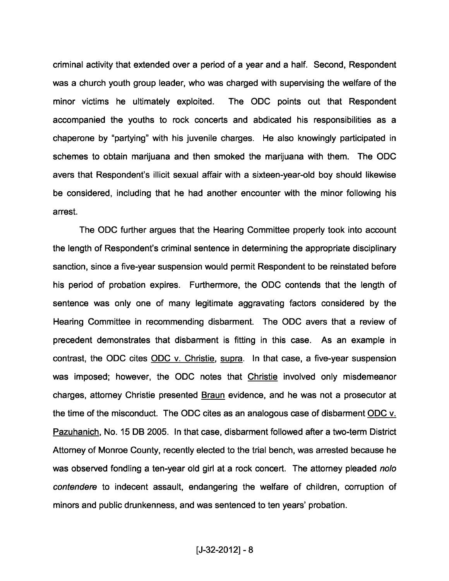criminal activity that extended over a period of a year and a half. Second, Respondent was a church youth group leader, who was charged with supervising the welfare of the minor victims he ultimately exploited. The ODC points out that Respondent accompanied the youths to rock concerts and abdicated his responsibilities as a chaperone by "partying" with his juvenile charges. He also knowingly participated in schemes to obtain marijuana and then smoked the marijuana with them. The ODC avers that Respondent's illicit sexual affair with a sixteen-year-old boy should likewise be considered, including that he had another encounter with the minor following his arrest.

The ODC further argues that the Hearing Committee properly took into account the length of Respondent's criminal sentence in determining the appropriate disciplinary sanction, since a five-year suspension would permit Respondent to be reinstated before his period of probation expires. Furthermore, the ODC contends that the length of sentence was only one of many legitimate aggravating factors considered by the Hearing Committee in recommending disbarment. The ODC avers that <sup>a</sup> review of precedent demonstrates that disbarment is fitting in this case. As an example in contrast, the ODC cites ODC v. Christie, supra. In that case, <sup>a</sup> five-year suspension was imposed; however, the ODC notes that Christie involved only misdemeanor charges, attorney Christie presented Braun evidence, and he was not a prosecutor at the time of the misconduct. The ODC cites as an analogous case of disbarment ODC v. Pazuhanich, No. 15 DB 2005. In that case, disbarment followed after a two-term District Attorney of Monroe County, recently elected to the trial bench, was arrested because he was observed fondling a ten-year old girl at a rock concert. The attorney pleaded nolo contendere to indecent assault, endangering the welfare of children, corruption of minors and public drunkenness, and was sentenced to ten years' probation.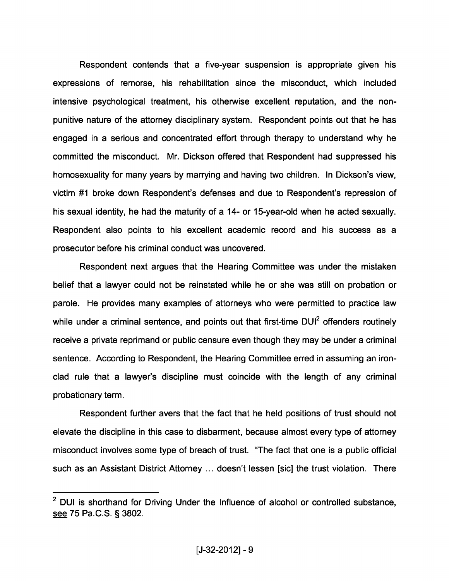Respondent contends that a five-year suspension is appropriate given his expressions of remorse, his rehabilitation since the misconduct, which included intensive psychological treatment, his otherwise excellent reputation, and the nonpunitive nature of the attorney disciplinary system. Respondent points out that he has engaged in a serious and concentrated effort through therapy to understand why he committed the misconduct. Mr. Dickson offered that Respondent had suppressed his homosexuality for many years by marrying and having two children. In Dickson's view, victim #1 broke down Respondent's defenses and due to Respondent's repression of his sexual identity, he had the maturity of a 14- or 15-year-old when he acted sexually. Respondent also points to his excellent academic record and his success as a prosecutor before his criminal conduct was uncovered.

Respondent next argues that the Hearing Committee was under the mistaken belief that a lawyer could not be reinstated while he or she was still on probation or parole. He provides many examples of attorneys who were permitted to practice law while under a criminal sentence, and points out that first-time DUI<sup>2</sup> offenders routinely receive a private reprimand or public censure even though they may be under a criminal sentence. According to Respondent, the Hearing Committee erred in assuming an ironclad rule that a lawyer's discipline must coincide with the length of any criminal probationary term.

Respondent further avers that the fact that he held positions of trust should not elevate the discipline in this case to disbarment, because almost every type of attorney misconduct involves some type of breach of trust. "The fact that one is a public official such as an Assistant District Attorney ... doesn't lessen [sic] the trust violation. There

 $2$  DUI is shorthand for Driving Under the Influence of alcohol or controlled substance, see 75 Pa.C.S. § 3802.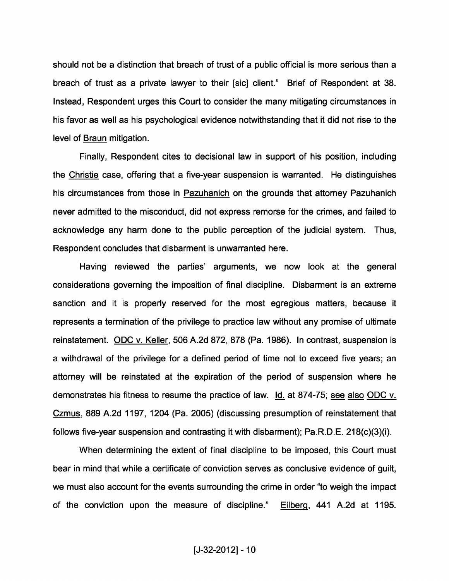should not be a distinction that breach of trust of a public official is more serious than a breach of trust as a private lawyer to their [sic] client." Brief of Respondent at 38. Instead, Respondent urges this Court to consider the many mitigating circumstances in his favor as well as his psychological evidence notwithstanding that it did not rise to the level of Braun mitigation.

Finally, Respondent cites to decisional law in support of his position, including the Christie case, offering that a five-year suspension is warranted. He distinguishes his circumstances from those in Pazuhanich on the grounds that attorney Pazuhanich never admitted to the misconduct, did not express remorse for the crimes, and failed to acknowledge any harm done to the public perception of the judicial system. Thus, Respondent concludes that disbarment is unwarranted here.

Having reviewed the parties' arguments, we now look at the general considerations governing the imposition of final discipline. Disbarment is an extreme sanction and it is properly reserved for the most egregious matters, because it represents a termination of the privilege to practice law without any promise of ultimate reinstatement. ODC v. Keller, 506 A.2d 872, 878 (Pa. 1986). In contrast, suspension is a withdrawal of the privilege for a defined period of time not to exceed five years; an attorney will be reinstated at the expiration of the period of suspension where he demonstrates his fitness to resume the practice of law. Id. at 874-75; see also ODC v. Czmus, 889 A.2d 1197, 1204 (Pa. 2005) (discussing presumption of reinstatement that follows five-year suspension and contrasting it with disbarment); Pa.R.D.E. 218(c)(3)(i).

When determining the extent of final discipline to be imposed, this Court must bear in mind that while a certificate of conviction serves as conclusive evidence of guilt, we must also account for the events surrounding the crime in order "to weigh the impact of the conviction upon the measure of discipline." Eilberg, 441 A.2d at 1195.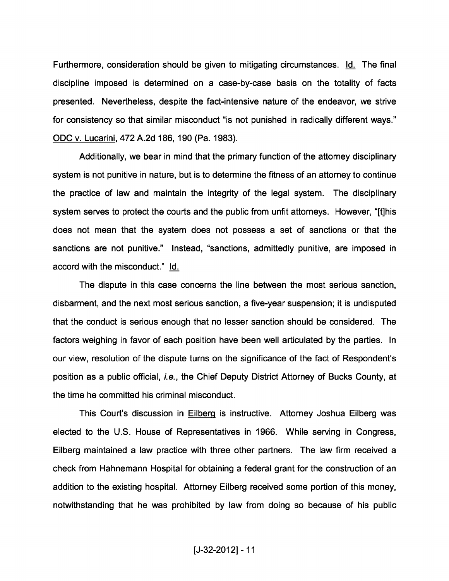Furthermore, consideration should be given to mitigating circumstances. Id. The final discipline imposed is determined on a case-by-case basis on the totality of facts presented. Nevertheless, despite the fact-intensive nature of the endeavor, we strive for consistency so that similar misconduct "is not punished in radically different ways." ODC v. Lucarini, 472 A.2d 186, 190 (Pa. 1983).

Additionally, we bear in mind that the primary function of the attorney disciplinary system is not punitive in nature, but is to determine the fitness of an attorney to continue the practice of law and maintain the integrity of the legal system. The disciplinary system serves to protect the courts and the public from unfit attorneys. However, "[t]his does not mean that the system does not possess a set of sanctions or that the sanctions are not punitive." Instead, "sanctions, admittedly punitive, are imposed in accord with the misconduct." Id.

The dispute in this case concerns the line between the most serious sanction, disbarment, and the next most serious sanction, a five-year suspension; it is undisputed that the conduct is serious enough that no lesser sanction should be considered. The factors weighing in favor of each position have been well articulated by the parties. In our view, resolution of the dispute turns on the significance of the fact of Respondent's position as a public official, i.e. , the Chief Deputy District Attorney of Bucks County, at the time he committed his criminal misconduct.

This Court's discussion in Eilberg is instructive. Attorney Joshua Eilberg was elected to the U.S. House of Representatives in 1966. While serving in Congress, Eilberg maintained a law practice with three other partners. The law firm received a check from Hahnemann Hospital for obtaining a federal grant for the construction of an addition to the existing hospital. Attorney Eilberg received some portion of this money, notwithstanding that he was prohibited by law from doing so because of his public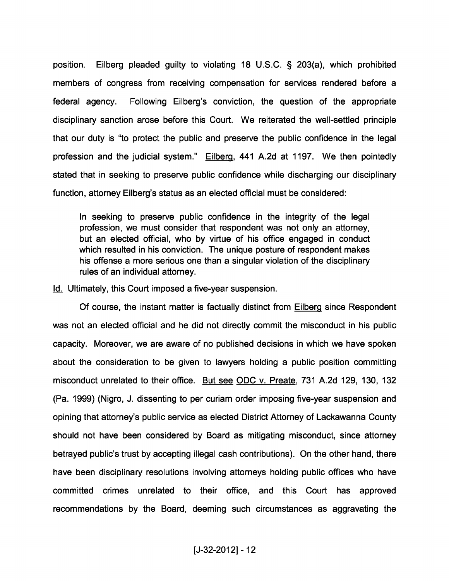position. Eilberg pleaded guilty to violating 18 U.S.C. § 203(a), which prohibited members of congress from receiving compensation for services rendered before a federal agency. Following Eilberg's conviction, the question of the appropriate disciplinary sanction arose before this Court. We reiterated the well-settled principle that our duty is "to protect the public and preserve the public confidence in the legal profession and the judicial system." Eilberg, <sup>441</sup> A.2d at 1197. We then pointedly stated that in seeking to preserve public confidence while discharging our disciplinary function, attorney Eilberg's status as an elected official must be considered:

In seeking to preserve public confidence in the integrity of the legal profession, we must consider that respondent was not only an attorney, but an elected official, who by virtue of his office engaged in conduct which resulted in his conviction. The unique posture of respondent makes his offense a more serious one than a singular violation of the disciplinary rules of an individual attorney.

Id. Ultimately, this Court imposed a five-year suspension.

Of course, the instant matter is factually distinct from Eilberg since Respondent was not an elected official and he did not directly commit the misconduct in his public capacity. Moreover, we are aware of no published decisions in which we have spoken about the consideration to be given to lawyers holding a public position committing misconduct unrelated to their office. But see ODC v. Preate, <sup>731</sup> A.2d 129, 130, 132 (Pa. 1999) (Nigro, J. dissenting to per curiam order imposing five-year suspension and opining that attorney's public service as elected District Attorney of Lackawanna County should not have been considered by Board as mitigating misconduct, since attorney betrayed public's trust by accepting illegal cash contributions). On the other hand, there have been disciplinary resolutions involving attorneys holding public offices who have committed crimes unrelated to their office, and this Court has approved recommendations by the Board, deeming such circumstances as aggravating the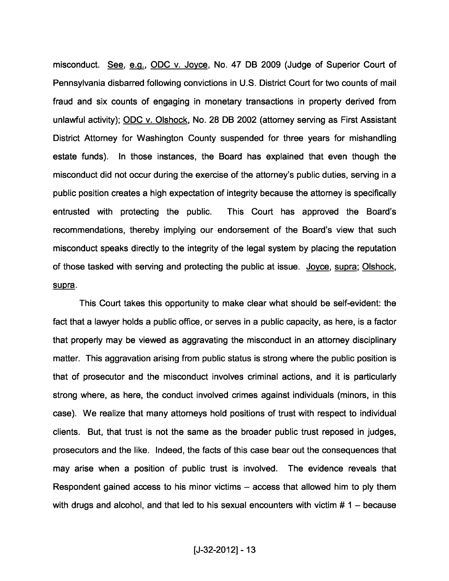misconduct. See, e.g., ODC v. Joyce, No. 47 DB 2009 (Judge of Superior Court of Pennsylvania disbarred following convictions in U.S. District Court for two counts of mail fraud and six counts of engaging in monetary transactions in property derived from unlawful activity); ODC v. Olshock, No. 28 DB 2002 (attorney serving as First Assistant District Attorney for Washington County suspended for three years for mishandling estate funds). In those instances, the Board has explained that even though the misconduct did not occur during the exercise of the attorney's public duties, serving in a public position creates a high expectation of integrity because the attorney is specifically entrusted with protecting the public. This Court has approved the Board's recommendations, thereby implying our endorsement of the Board's view that such misconduct speaks directly to the integrity of the legal system by placing the reputation of those tasked with serving and protecting the public at issue. Joyce, supra; Olshock, supra.

This Court takes this opportunity to make clear what should be self-evident: the fact that a lawyer holds a public office, or serves in a public capacity, as here, is a factor that properly may be viewed as aggravating the misconduct in an attorney disciplinary matter. This aggravation arising from public status is strong where the public position is that of prosecutor and the misconduct involves criminal actions, and it is particularly strong where, as here, the conduct involved crimes against individuals (minors, in this case). We realize that many attorneys hold positions of trust with respect to individual clients. But, that trust is not the same as the broader public trust reposed in judges, prosecutors and the like. Indeed, the facts of this case bear out the consequences that may arise when a position of public trust is involved. The evidence reveals that Respondent gained access to his minor victims — access that allowed him to ply them with drugs and alcohol, and that led to his sexual encounters with victim  $# 1 -$  because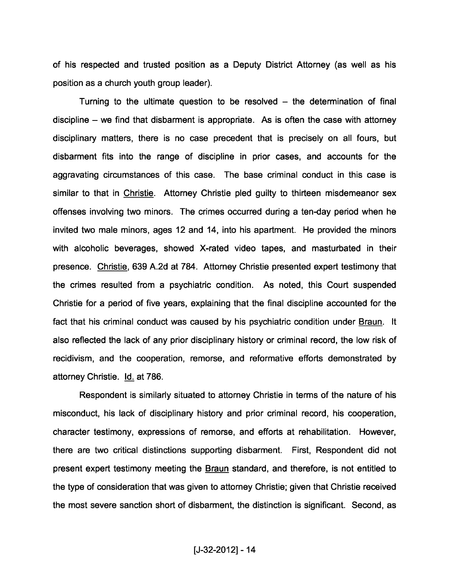of his respected and trusted position as a Deputy District Attorney (as well as his position as a church youth group leader).

Turning to the ultimate question to be resolved — the determination of final discipline — we find that disbarment is appropriate. As is often the case with attorney disciplinary matters, there is no case precedent that is precisely on all fours, but disbarment fits into the range of discipline in prior cases, and accounts for the aggravating circumstances of this case. The base criminal conduct in this case is similar to that in Christie. Attorney Christie pled guilty to thirteen misdemeanor sex offenses involving two minors. The crimes occurred during a ten-day period when he invited two male minors, ages 12 and 14, into his apartment. He provided the minors with alcoholic beverages, showed X-rated video tapes, and masturbated in their presence. Christie, 639 A.2d at 784. Attorney Christie presented expert testimony that the crimes resulted from a psychiatric condition. As noted, this Court suspended Christie for a period of five years, explaining that the final discipline accounted for the fact that his criminal conduct was caused by his psychiatric condition under Braun. It also reflected the lack of any prior disciplinary history or criminal record, the low risk of recidivism, and the cooperation, remorse, and reformative efforts demonstrated by attorney Christie. Id. at 786.

Respondent is similarly situated to attorney Christie in terms of the nature of his misconduct, his lack of disciplinary history and prior criminal record, his cooperation, character testimony, expressions of remorse, and efforts at rehabilitation. However, there are two critical distinctions supporting disbarment. First, Respondent did not present expert testimony meeting the Braun standard, and therefore, is not entitled to the type of consideration that was given to attorney Christie; given that Christie received the most severe sanction short of disbarment, the distinction is significant. Second, as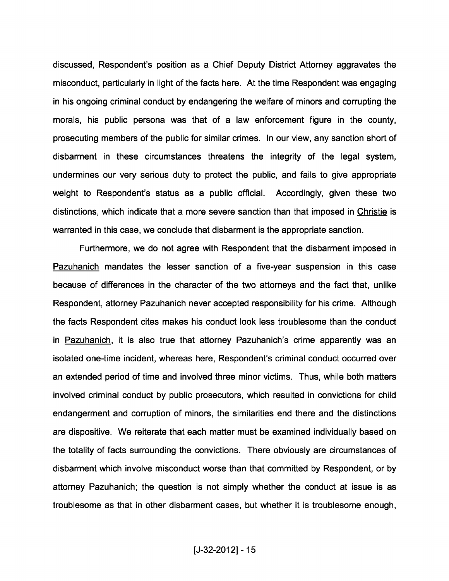discussed, Respondent's position as a Chief Deputy District Attorney aggravates the misconduct, particularly in light of the facts here. At the time Respondent was engaging in his ongoing criminal conduct by endangering the welfare of minors and corrupting the morals, his public persona was that of a law enforcement figure in the county, prosecuting members of the public for similar crimes. In our view, any sanction short of disbarment in these circumstances threatens the integrity of the legal system, undermines our very serious duty to protect the public, and fails to give appropriate weight to Respondent's status as a public official. Accordingly, given these two distinctions, which indicate that a more severe sanction than that imposed in Christie is warranted in this case, we conclude that disbarment is the appropriate sanction.

Furthermore, we do not agree with Respondent that the disbarment imposed in Pazuhanich mandates the lesser sanction of a five-year suspension in this case because of differences in the character of the two attorneys and the fact that, unlike Respondent, attorney Pazuhanich never accepted responsibility for his crime. Although the facts Respondent cites makes his conduct look less troublesome than the conduct in Pazuhanich, it is also true that attorney Pazuhanich's crime apparently was an isolated one-time incident, whereas here, Respondent's criminal conduct occurred over an extended period of time and involved three minor victims. Thus, while both matters involved criminal conduct by public prosecutors, which resulted in convictions for child endangerment and corruption of minors, the similarities end there and the distinctions are dispositive. We reiterate that each matter must be examined individually based on the totality of facts surrounding the convictions. There obviously are circumstances of disbarment which involve misconduct worse than that committed by Respondent, or by attorney Pazuhanich; the question is not simply whether the conduct at issue is as troublesome as that in other disbarment cases, but whether it is troublesome enough,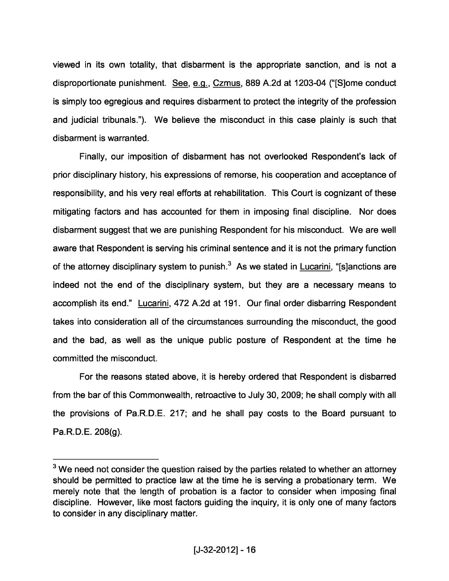viewed in its own totality, that disbarment is the appropriate sanction, and is not a disproportionate punishment. See, e.g., Czmus, 889 A.2d at 1203-04 ("[S]ome conduct is simply too egregious and requires disbarment to protect the integrity of the profession and judicial tribunals."). We believe the misconduct in this case plainly is such that disbarment is warranted.

Finally, our imposition of disbarment has not overlooked Respondent's lack of prior disciplinary history, his expressions of remorse, his cooperation and acceptance of responsibility, and his very real efforts at rehabilitation. This Court is cognizant of these mitigating factors and has accounted for them in imposing final discipline. Nor does disbarment suggest that we are punishing Respondent for his misconduct. We are well aware that Respondent is serving his criminal sentence and it is not the primary function of the attorney disciplinary system to punish. $3$  As we stated in Lucarini, "[s]anctions are indeed not the end of the disciplinary system, but they are a necessary means to accomplish its end." Lucarini, 472 A.2d at 191. Our final order disbarring Respondent takes into consideration all of the circumstances surrounding the misconduct, the good and the bad, as well as the unique public posture of Respondent at the time he committed the misconduct.

For the reasons stated above, it is hereby ordered that Respondent is disbarred from the bar of this Commonwealth, retroactive to July 30, 2009; he shall comply with all the provisions of Pa.R.D.E. 217; and he shall pay costs to the Board pursuant to Pa. R. D. E. 208(g).

 $3$  We need not consider the question raised by the parties related to whether an attorney should be permitted to practice law at the time he is serving <sup>a</sup> probationary term. We merely note that the length of probation is a factor to consider when imposing final discipline. However, like most factors guiding the inquiry, it is only one of many factors to consider in any disciplinary matter.